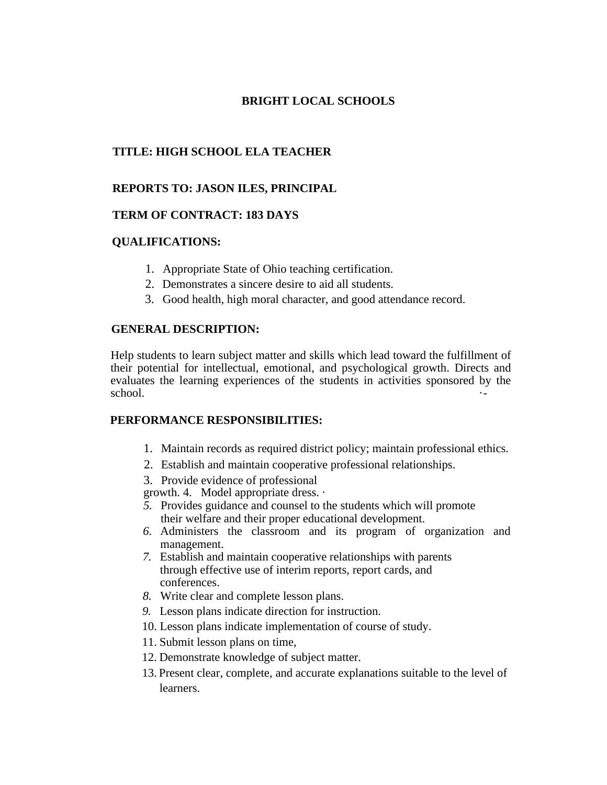## **BRIGHT LOCAL SCHOOLS**

# **TITLE: HIGH SCHOOL ELA TEACHER**

## **REPORTS TO: JASON ILES, PRINCIPAL**

#### **TERM OF CONTRACT: 183 DAYS**

#### **QUALIFICATIONS:**

- 1. Appropriate State of Ohio teaching certification.
- 2. Demonstrates a sincere desire to aid all students.
- 3. Good health, high moral character, and good attendance record.

#### **GENERAL DESCRIPTION:**

Help students to learn subject matter and skills which lead toward the fulfillment of their potential for intellectual, emotional, and psychological growth. Directs and evaluates the learning experiences of the students in activities sponsored by the school.  $\qquad \qquad \cdots$ 

### **PERFORMANCE RESPONSIBILITIES:**

- 1. Maintain records as required district policy; maintain professional ethics.
- 2. Establish and maintain cooperative professional relationships.
- 3. Provide evidence of professional

growth. 4. Model appropriate dress. ·

- *5.* Provides guidance and counsel to the students which will promote their welfare and their proper educational development.
- *6.* Administers the classroom and its program of organization and management.
- *7.* Establish and maintain cooperative relationships with parents through effective use of interim reports, report cards, and conferences.
- *8.* Write clear and complete lesson plans.
- *9.* Lesson plans indicate direction for instruction.
- 10. Lesson plans indicate implementation of course of study.
- 11. Submit lesson plans on time,
- 12. Demonstrate knowledge of subject matter.
- 13. Present clear, complete, and accurate explanations suitable to the level of learners.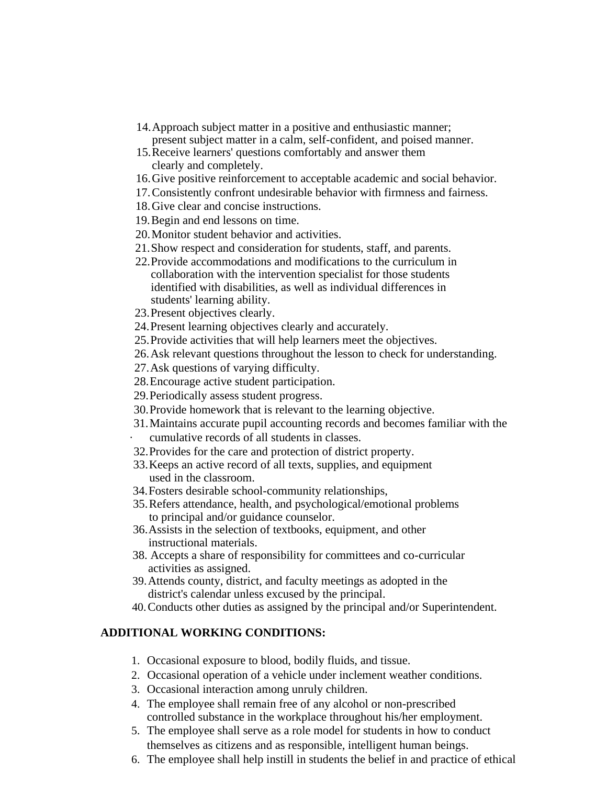- 14.Approach subject matter in a positive and enthusiastic manner; present subject matter in a calm, self-confident, and poised manner.
- 15.Receive learners' questions comfortably and answer them clearly and completely.
- 16.Give positive reinforcement to acceptable academic and social behavior.
- 17.Consistently confront undesirable behavior with firmness and fairness.
- 18.Give clear and concise instructions.
- 19.Begin and end lessons on time.
- 20.Monitor student behavior and activities.
- 21.Show respect and consideration for students, staff, and parents.
- 22.Provide accommodations and modifications to the curriculum in collaboration with the intervention specialist for those students identified with disabilities, as well as individual differences in students' learning ability.
- 23.Present objectives clearly.
- 24.Present learning objectives clearly and accurately.
- 25.Provide activities that will help learners meet the objectives.
- 26.Ask relevant questions throughout the lesson to check for understanding.
- 27.Ask questions of varying difficulty.
- 28.Encourage active student participation.
- 29.Periodically assess student progress.
- 30.Provide homework that is relevant to the learning objective.
- 31.Maintains accurate pupil accounting records and becomes familiar with the cumulative records of all students in classes.
- 
- 32.Provides for the care and protection of district property.
- 33.Keeps an active record of all texts, supplies, and equipment used in the classroom.
- 34.Fosters desirable school-community relationships,
- 35.Refers attendance, health, and psychological/emotional problems to principal and/or guidance counselor.
- 36.Assists in the selection of textbooks, equipment, and other instructional materials.
- 38. Accepts a share of responsibility for committees and co-curricular activities as assigned.
- 39.Attends county, district, and faculty meetings as adopted in the district's calendar unless excused by the principal.
- 40.Conducts other duties as assigned by the principal and/or Superintendent.

# **ADDITIONAL WORKING CONDITIONS:**

- 1. Occasional exposure to blood, bodily fluids, and tissue.
- 2. Occasional operation of a vehicle under inclement weather conditions.
- 3. Occasional interaction among unruly children.
- 4. The employee shall remain free of any alcohol or non-prescribed controlled substance in the workplace throughout his/her employment.
- 5. The employee shall serve as a role model for students in how to conduct themselves as citizens and as responsible, intelligent human beings.
- 6. The employee shall help instill in students the belief in and practice of ethical